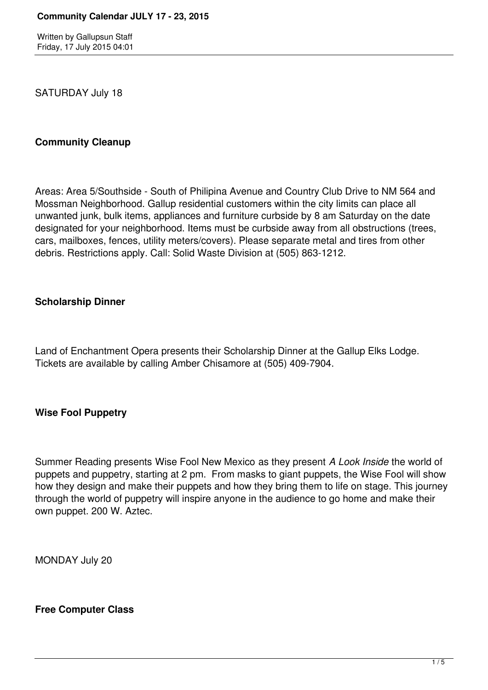Written by Gallupsun Staff Friday, 17 July 2015 04:01

SATURDAY July 18

### **Community Cleanup**

Areas: Area 5/Southside - South of Philipina Avenue and Country Club Drive to NM 564 and Mossman Neighborhood. Gallup residential customers within the city limits can place all unwanted junk, bulk items, appliances and furniture curbside by 8 am Saturday on the date designated for your neighborhood. Items must be curbside away from all obstructions (trees, cars, mailboxes, fences, utility meters/covers). Please separate metal and tires from other debris. Restrictions apply. Call: Solid Waste Division at (505) 863-1212.

### **Scholarship Dinner**

Land of Enchantment Opera presents their Scholarship Dinner at the Gallup Elks Lodge. Tickets are available by calling Amber Chisamore at (505) 409-7904.

## **Wise Fool Puppetry**

Summer Reading presents Wise Fool New Mexico as they present *A Look Inside* the world of puppets and puppetry, starting at 2 pm. From masks to giant puppets, the Wise Fool will show how they design and make their puppets and how they bring them to life on stage. This journey through the world of puppetry will inspire anyone in the audience to go home and make their own puppet. 200 W. Aztec.

MONDAY July 20

#### **Free Computer Class**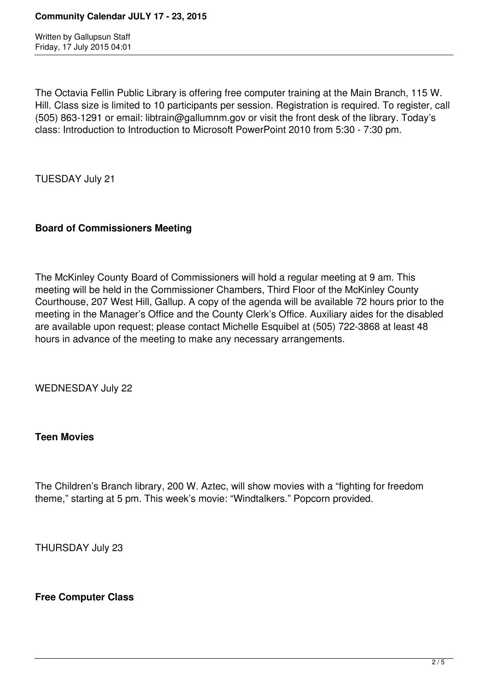Written by Gallupsun Staff Friday, 17 July 2015 04:01

The Octavia Fellin Public Library is offering free computer training at the Main Branch, 115 W. Hill. Class size is limited to 10 participants per session. Registration is required. To register, call (505) 863-1291 or email: libtrain@gallumnm.gov or visit the front desk of the library. Today's class: Introduction to Introduction to Microsoft PowerPoint 2010 from 5:30 - 7:30 pm.

TUESDAY July 21

# **Board of Commissioners Meeting**

The McKinley County Board of Commissioners will hold a regular meeting at 9 am. This meeting will be held in the Commissioner Chambers, Third Floor of the McKinley County Courthouse, 207 West Hill, Gallup. A copy of the agenda will be available 72 hours prior to the meeting in the Manager's Office and the County Clerk's Office. Auxiliary aides for the disabled are available upon request; please contact Michelle Esquibel at (505) 722-3868 at least 48 hours in advance of the meeting to make any necessary arrangements.

WEDNESDAY July 22

## **Teen Movies**

The Children's Branch library, 200 W. Aztec, will show movies with a "fighting for freedom theme," starting at 5 pm. This week's movie: "Windtalkers." Popcorn provided.

THURSDAY July 23

## **Free Computer Class**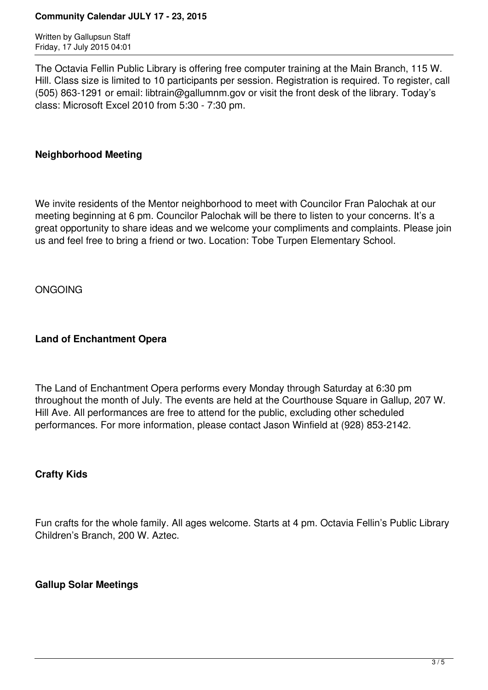#### **Community Calendar JULY 17 - 23, 2015**

Written by Gallupsun Staff Friday, 17 July 2015 04:01

The Octavia Fellin Public Library is offering free computer training at the Main Branch, 115 W. Hill. Class size is limited to 10 participants per session. Registration is required. To register, call (505) 863-1291 or email: libtrain@gallumnm.gov or visit the front desk of the library. Today's class: Microsoft Excel 2010 from 5:30 - 7:30 pm.

### **Neighborhood Meeting**

We invite residents of the Mentor neighborhood to meet with Councilor Fran Palochak at our meeting beginning at 6 pm. Councilor Palochak will be there to listen to your concerns. It's a great opportunity to share ideas and we welcome your compliments and complaints. Please join us and feel free to bring a friend or two. Location: Tobe Turpen Elementary School.

ONGOING

### **Land of Enchantment Opera**

The Land of Enchantment Opera performs every Monday through Saturday at 6:30 pm throughout the month of July. The events are held at the Courthouse Square in Gallup, 207 W. Hill Ave. All performances are free to attend for the public, excluding other scheduled performances. For more information, please contact Jason Winfield at (928) 853-2142.

#### **Crafty Kids**

Fun crafts for the whole family. All ages welcome. Starts at 4 pm. Octavia Fellin's Public Library Children's Branch, 200 W. Aztec.

## **Gallup Solar Meetings**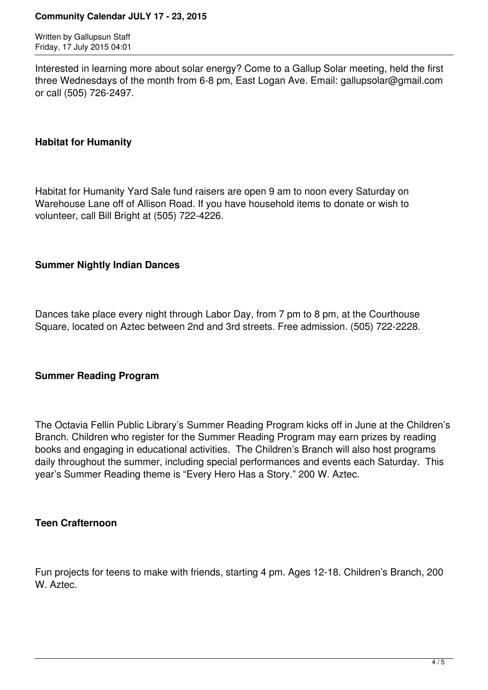#### **Community Calendar JULY 17 - 23, 2015**

Written by Gallupsun Staff Friday, 17 July 2015 04:01

Interested in learning more about solar energy? Come to a Gallup Solar meeting, held the first three Wednesdays of the month from 6-8 pm, East Logan Ave. Email: gallupsolar@gmail.com or call (505) 726-2497.

### **Habitat for Humanity**

Habitat for Humanity Yard Sale fund raisers are open 9 am to noon every Saturday on Warehouse Lane off of Allison Road. If you have household items to donate or wish to volunteer, call Bill Bright at (505) 722-4226.

## **Summer Nightly Indian Dances**

Dances take place every night through Labor Day, from 7 pm to 8 pm, at the Courthouse Square, located on Aztec between 2nd and 3rd streets. Free admission. (505) 722-2228.

#### **Summer Reading Program**

The Octavia Fellin Public Library's Summer Reading Program kicks off in June at the Children's Branch. Children who register for the Summer Reading Program may earn prizes by reading books and engaging in educational activities. The Children's Branch will also host programs daily throughout the summer, including special performances and events each Saturday. This year's Summer Reading theme is "Every Hero Has a Story." 200 W. Aztec.

#### **Teen Crafternoon**

Fun projects for teens to make with friends, starting 4 pm. Ages 12-18. Children's Branch, 200 W. Aztec.